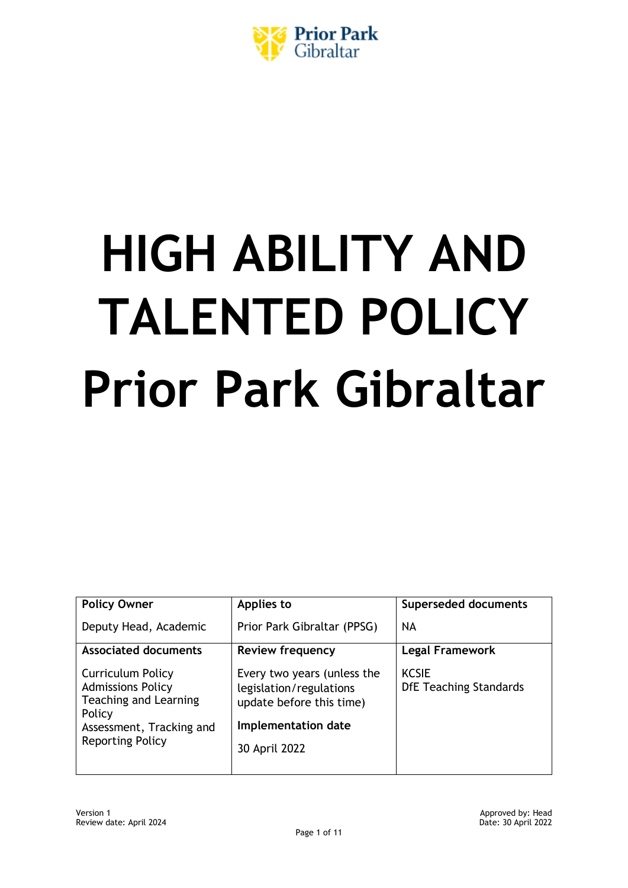

# **HIGH ABILITY AND TALENTED POLICY Prior Park Gibraltar**

| <b>Policy Owner</b>                                                                                                                                   | Applies to                                                                                                                 | <b>Superseded documents</b>                   |
|-------------------------------------------------------------------------------------------------------------------------------------------------------|----------------------------------------------------------------------------------------------------------------------------|-----------------------------------------------|
| Deputy Head, Academic                                                                                                                                 | Prior Park Gibraltar (PPSG)                                                                                                | <b>NA</b>                                     |
| <b>Associated documents</b>                                                                                                                           | <b>Review frequency</b>                                                                                                    | <b>Legal Framework</b>                        |
| <b>Curriculum Policy</b><br><b>Admissions Policy</b><br><b>Teaching and Learning</b><br>Policy<br>Assessment, Tracking and<br><b>Reporting Policy</b> | Every two years (unless the<br>legislation/regulations<br>update before this time)<br>Implementation date<br>30 April 2022 | <b>KCSIE</b><br><b>DfE Teaching Standards</b> |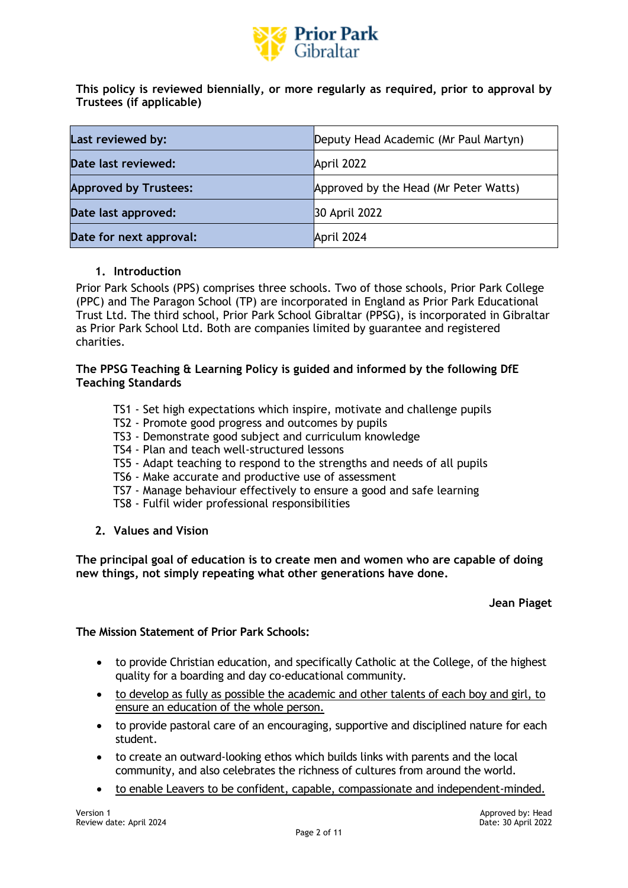

**This policy is reviewed biennially, or more regularly as required, prior to approval by Trustees (if applicable)**

| Last reviewed by:            | Deputy Head Academic (Mr Paul Martyn) |  |
|------------------------------|---------------------------------------|--|
| Date last reviewed:          | April 2022                            |  |
| <b>Approved by Trustees:</b> | Approved by the Head (Mr Peter Watts) |  |
| Date last approved:          | 30 April 2022                         |  |
| Date for next approval:      | April 2024                            |  |

#### **1. Introduction**

Prior Park Schools (PPS) comprises three schools. Two of those schools, Prior Park College (PPC) and The Paragon School (TP) are incorporated in England as Prior Park Educational Trust Ltd. The third school, Prior Park School Gibraltar (PPSG), is incorporated in Gibraltar as Prior Park School Ltd. Both are companies limited by guarantee and registered charities.

#### **[The PPSG Teaching & Learning Policy is guided and informed by the following DfE](https://assets.publishing.service.gov.uk/government/uploads/system/uploads/attachment_data/file/665522/Teachers_standard_information.pdf)  [Teaching Standards](https://assets.publishing.service.gov.uk/government/uploads/system/uploads/attachment_data/file/665522/Teachers_standard_information.pdf)**

- TS1 Set high expectations which inspire, motivate and challenge pupils
- TS2 Promote good progress and outcomes by pupils
- TS3 Demonstrate good subject and curriculum knowledge
- TS4 Plan and teach well-structured lessons
- TS5 Adapt teaching to respond to the strengths and needs of all pupils
- TS6 Make accurate and productive use of assessment
- TS7 Manage behaviour effectively to ensure a good and safe learning
- TS8 Fulfil wider professional responsibilities
- **2. Values and Vision**

**The principal goal of education is to create men and women who are capable of doing new things, not simply repeating what other generations have done.** 

#### **Jean Piaget**

#### **The Mission Statement of Prior Park Schools:**

- to provide Christian education, and specifically Catholic at the College, of the highest quality for a boarding and day co-educational community.
- to develop as fully as possible the academic and other talents of each boy and girl, to ensure an education of the whole person.
- to provide pastoral care of an encouraging, supportive and disciplined nature for each student.
- to create an outward-looking ethos which builds links with parents and the local community, and also celebrates the richness of cultures from around the world.
- to enable Leavers to be confident, capable, compassionate and independent-minded.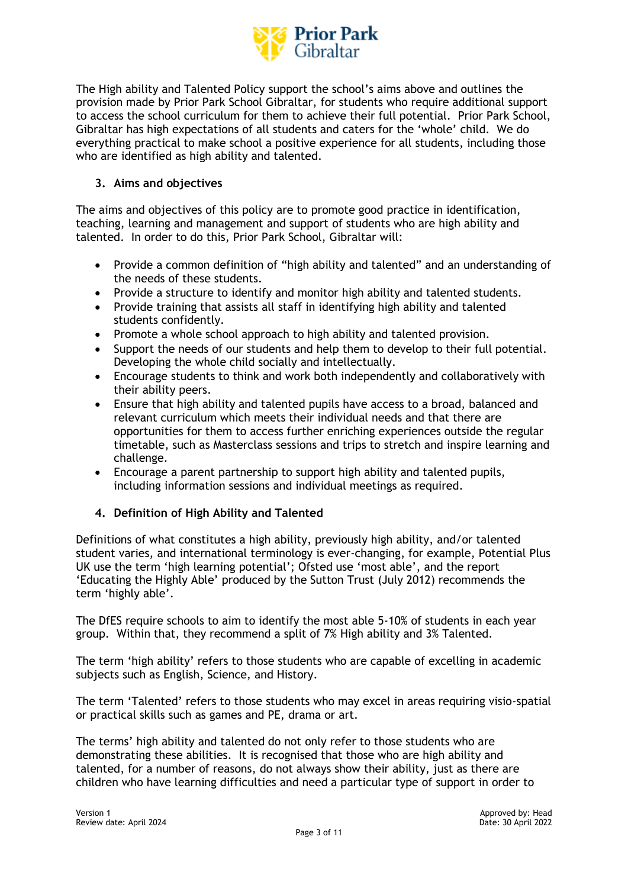

The High ability and Talented Policy support the school's aims above and outlines the provision made by Prior Park School Gibraltar, for students who require additional support to access the school curriculum for them to achieve their full potential. Prior Park School, Gibraltar has high expectations of all students and caters for the 'whole' child. We do everything practical to make school a positive experience for all students, including those who are identified as high ability and talented.

#### **3. Aims and objectives**

The aims and objectives of this policy are to promote good practice in identification, teaching, learning and management and support of students who are high ability and talented. In order to do this, Prior Park School, Gibraltar will:

- Provide a common definition of "high ability and talented" and an understanding of the needs of these students.
- Provide a structure to identify and monitor high ability and talented students.
- Provide training that assists all staff in identifying high ability and talented students confidently.
- Promote a whole school approach to high ability and talented provision.
- Support the needs of our students and help them to develop to their full potential. Developing the whole child socially and intellectually.
- Encourage students to think and work both independently and collaboratively with their ability peers.
- Ensure that high ability and talented pupils have access to a broad, balanced and relevant curriculum which meets their individual needs and that there are opportunities for them to access further enriching experiences outside the regular timetable, such as Masterclass sessions and trips to stretch and inspire learning and challenge.
- Encourage a parent partnership to support high ability and talented pupils, including information sessions and individual meetings as required.

#### **4. Definition of High Ability and Talented**

Definitions of what constitutes a high ability, previously high ability, and/or talented student varies, and international terminology is ever-changing, for example, Potential Plus UK use the term 'high learning potential'; Ofsted use 'most able', and the report 'Educating the Highly Able' produced by the Sutton Trust (July 2012) recommends the term 'highly able'.

The DfES require schools to aim to identify the most able 5-10% of students in each year group. Within that, they recommend a split of 7% High ability and 3% Talented.

The term 'high ability' refers to those students who are capable of excelling in academic subjects such as English, Science, and History.

The term 'Talented' refers to those students who may excel in areas requiring visio-spatial or practical skills such as games and PE, drama or art.

The terms' high ability and talented do not only refer to those students who are demonstrating these abilities. It is recognised that those who are high ability and talented, for a number of reasons, do not always show their ability, just as there are children who have learning difficulties and need a particular type of support in order to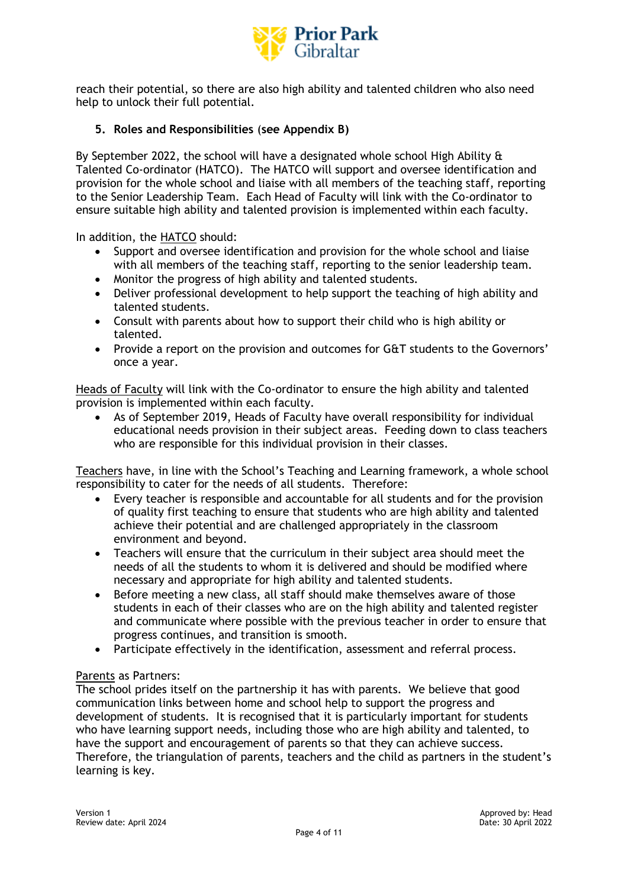

reach their potential, so there are also high ability and talented children who also need help to unlock their full potential.

#### **5. Roles and Responsibilities** (**see Appendix B)**

By September 2022, the school will have a designated whole school High Ability  $\hat{a}$ Talented Co-ordinator (HATCO). The HATCO will support and oversee identification and provision for the whole school and liaise with all members of the teaching staff, reporting to the Senior Leadership Team. Each Head of Faculty will link with the Co-ordinator to ensure suitable high ability and talented provision is implemented within each faculty.

In addition, the HATCO should:

- Support and oversee identification and provision for the whole school and liaise with all members of the teaching staff, reporting to the senior leadership team.
- Monitor the progress of high ability and talented students.
- Deliver professional development to help support the teaching of high ability and talented students.
- Consult with parents about how to support their child who is high ability or talented.
- Provide a report on the provision and outcomes for G&T students to the Governors' once a year.

Heads of Faculty will link with the Co-ordinator to ensure the high ability and talented provision is implemented within each faculty.

• As of September 2019, Heads of Faculty have overall responsibility for individual educational needs provision in their subject areas. Feeding down to class teachers who are responsible for this individual provision in their classes.

Teachers have, in line with the School's Teaching and Learning framework, a whole school responsibility to cater for the needs of all students. Therefore:

- Every teacher is responsible and accountable for all students and for the provision of quality first teaching to ensure that students who are high ability and talented achieve their potential and are challenged appropriately in the classroom environment and beyond.
- Teachers will ensure that the curriculum in their subject area should meet the needs of all the students to whom it is delivered and should be modified where necessary and appropriate for high ability and talented students.
- Before meeting a new class, all staff should make themselves aware of those students in each of their classes who are on the high ability and talented register and communicate where possible with the previous teacher in order to ensure that progress continues, and transition is smooth.
- Participate effectively in the identification, assessment and referral process.

#### Parents as Partners:

The school prides itself on the partnership it has with parents. We believe that good communication links between home and school help to support the progress and development of students. It is recognised that it is particularly important for students who have learning support needs, including those who are high ability and talented, to have the support and encouragement of parents so that they can achieve success. Therefore, the triangulation of parents, teachers and the child as partners in the student's learning is key.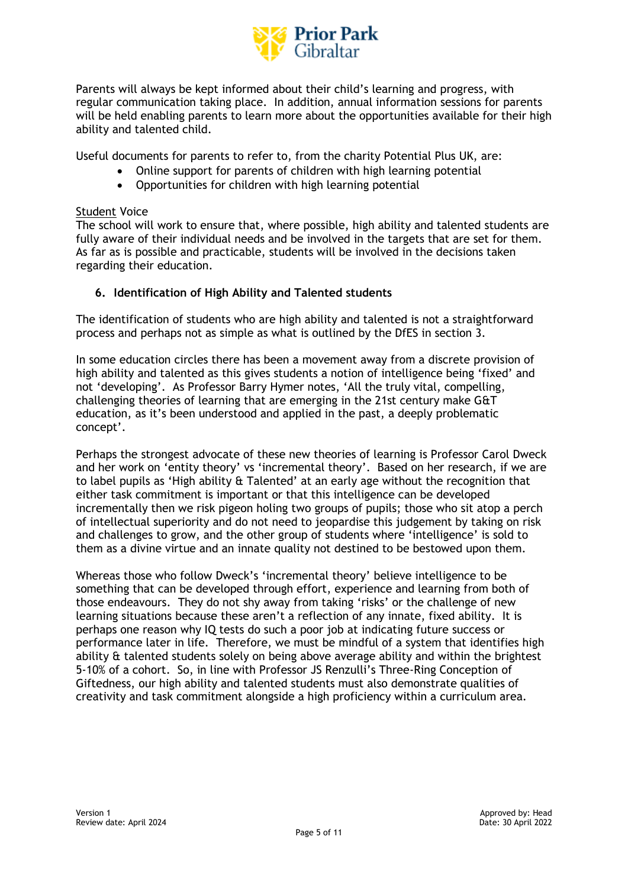

Parents will always be kept informed about their child's learning and progress, with regular communication taking place. In addition, annual information sessions for parents will be held enabling parents to learn more about the opportunities available for their high ability and talented child.

Useful documents for parents to refer to, from the charity Potential Plus UK, are:

- Online support for parents of children with high learning potential
- Opportunities for children with high learning potential

#### Student Voice

The school will work to ensure that, where possible, high ability and talented students are fully aware of their individual needs and be involved in the targets that are set for them. As far as is possible and practicable, students will be involved in the decisions taken regarding their education.

#### **6. Identification of High Ability and Talented students**

The identification of students who are high ability and talented is not a straightforward process and perhaps not as simple as what is outlined by the DfES in section 3.

In some education circles there has been a movement away from a discrete provision of high ability and talented as this gives students a notion of intelligence being 'fixed' and not 'developing'. As Professor Barry Hymer notes, 'All the truly vital, compelling, challenging theories of learning that are emerging in the 21st century make G&T education, as it's been understood and applied in the past, a deeply problematic concept'.

Perhaps the strongest advocate of these new theories of learning is Professor Carol Dweck and her work on 'entity theory' vs 'incremental theory'. Based on her research, if we are to label pupils as 'High ability & Talented' at an early age without the recognition that either task commitment is important or that this intelligence can be developed incrementally then we risk pigeon holing two groups of pupils; those who sit atop a perch of intellectual superiority and do not need to jeopardise this judgement by taking on risk and challenges to grow, and the other group of students where 'intelligence' is sold to them as a divine virtue and an innate quality not destined to be bestowed upon them.

Whereas those who follow Dweck's 'incremental theory' believe intelligence to be something that can be developed through effort, experience and learning from both of those endeavours. They do not shy away from taking 'risks' or the challenge of new learning situations because these aren't a reflection of any innate, fixed ability. It is perhaps one reason why IQ tests do such a poor job at indicating future success or performance later in life. Therefore, we must be mindful of a system that identifies high ability & talented students solely on being above average ability and within the brightest 5-10% of a cohort. So, in line with Professor JS Renzulli's Three-Ring Conception of Giftedness, our high ability and talented students must also demonstrate qualities of creativity and task commitment alongside a high proficiency within a curriculum area.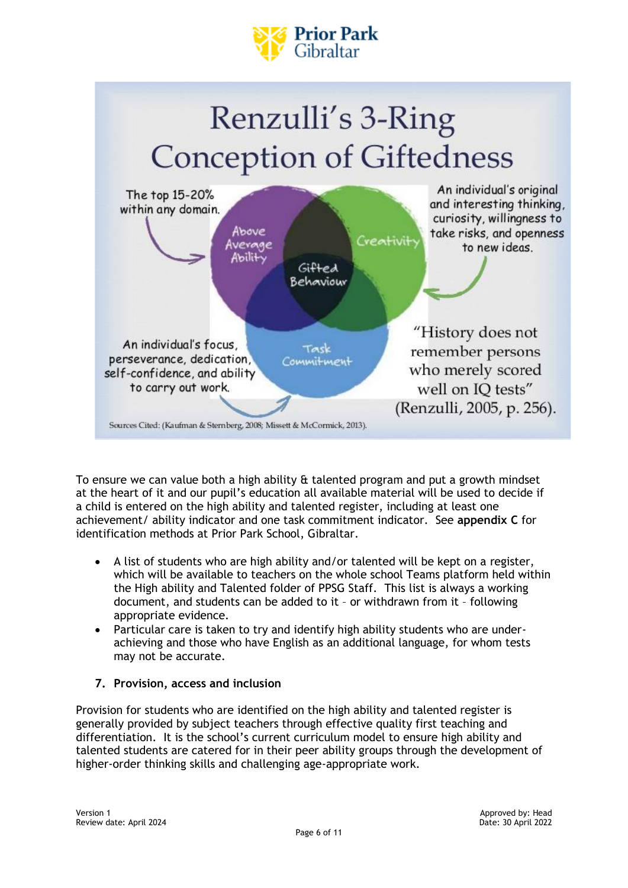





To ensure we can value both a high ability & talented program and put a growth mindset at the heart of it and our pupil's education all available material will be used to decide if a child is entered on the high ability and talented register, including at least one achievement/ ability indicator and one task commitment indicator. See **appendix C** for identification methods at Prior Park School, Gibraltar.

- A list of students who are high ability and/or talented will be kept on a register, which will be available to teachers on the whole school Teams platform held within the High ability and Talented folder of PPSG Staff. This list is always a working document, and students can be added to it – or withdrawn from it – following appropriate evidence.
- Particular care is taken to try and identify high ability students who are underachieving and those who have English as an additional language, for whom tests may not be accurate.
- **7. Provision, access and inclusion**

Provision for students who are identified on the high ability and talented register is generally provided by subject teachers through effective quality first teaching and differentiation. It is the school's current curriculum model to ensure high ability and talented students are catered for in their peer ability groups through the development of higher-order thinking skills and challenging age-appropriate work.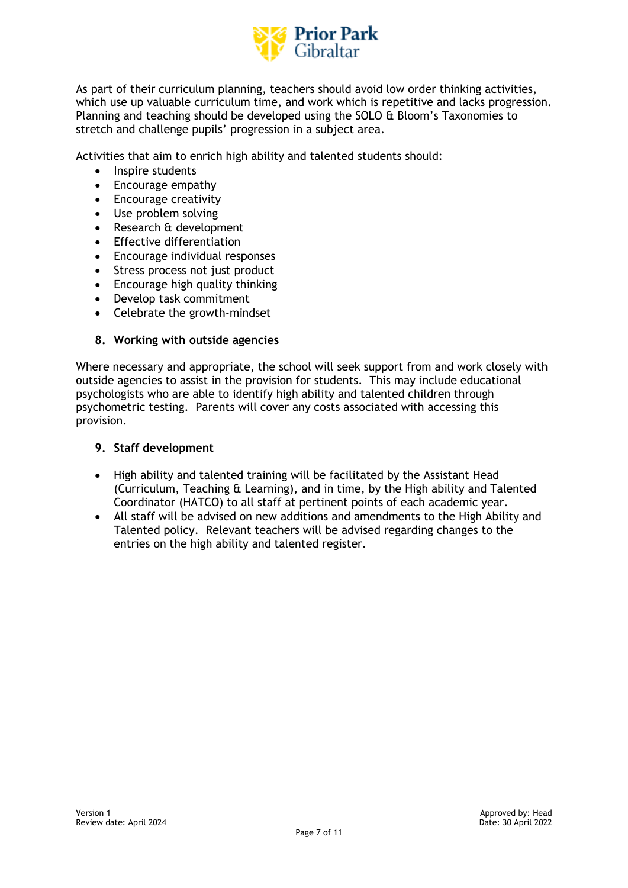

As part of their curriculum planning, teachers should avoid low order thinking activities, which use up valuable curriculum time, and work which is repetitive and lacks progression. Planning and teaching should be developed using the SOLO & Bloom's Taxonomies to stretch and challenge pupils' progression in a subject area.

Activities that aim to enrich high ability and talented students should:

- Inspire students
- Encourage empathy
- Encourage creativity
- Use problem solving
- Research & development
- Effective differentiation
- Encourage individual responses
- Stress process not just product
- Encourage high quality thinking
- Develop task commitment
- Celebrate the growth-mindset

#### **8. Working with outside agencies**

Where necessary and appropriate, the school will seek support from and work closely with outside agencies to assist in the provision for students. This may include educational psychologists who are able to identify high ability and talented children through psychometric testing. Parents will cover any costs associated with accessing this provision.

#### **9. Staff development**

- High ability and talented training will be facilitated by the Assistant Head (Curriculum, Teaching & Learning), and in time, by the High ability and Talented Coordinator (HATCO) to all staff at pertinent points of each academic year.
- All staff will be advised on new additions and amendments to the High Ability and Talented policy. Relevant teachers will be advised regarding changes to the entries on the high ability and talented register.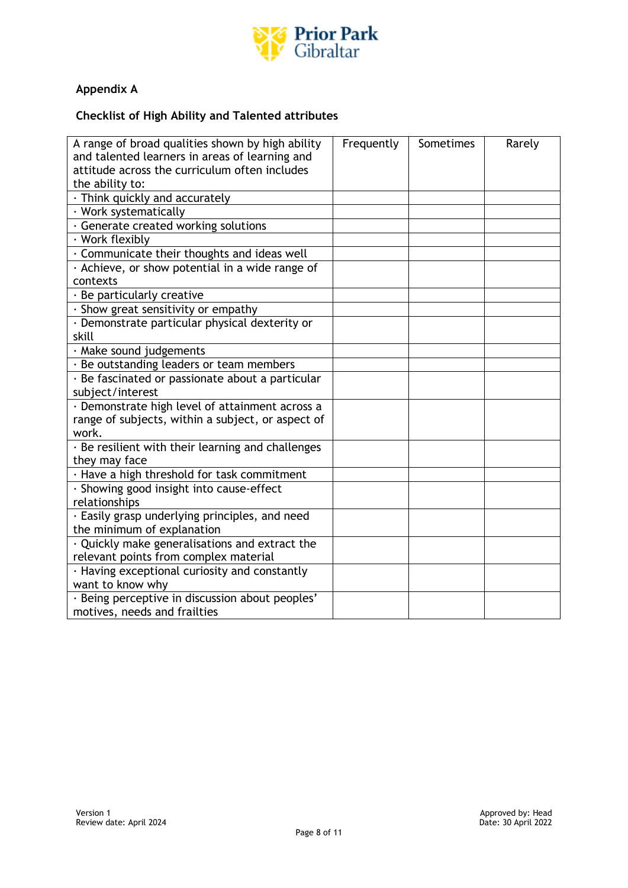

# **Appendix A**

## **Checklist of High Ability and Talented attributes**

| A range of broad qualities shown by high ability     | Frequently | Sometimes | Rarely |
|------------------------------------------------------|------------|-----------|--------|
| and talented learners in areas of learning and       |            |           |        |
| attitude across the curriculum often includes        |            |           |        |
| the ability to:                                      |            |           |        |
| $\cdot$ Think quickly and accurately                 |            |           |        |
| · Work systematically                                |            |           |        |
| · Generate created working solutions                 |            |           |        |
| · Work flexibly                                      |            |           |        |
| · Communicate their thoughts and ideas well          |            |           |        |
| · Achieve, or show potential in a wide range of      |            |           |        |
| contexts                                             |            |           |        |
| $\cdot$ Be particularly creative                     |            |           |        |
| · Show great sensitivity or empathy                  |            |           |        |
| · Demonstrate particular physical dexterity or       |            |           |        |
| skill                                                |            |           |        |
| · Make sound judgements                              |            |           |        |
| · Be outstanding leaders or team members             |            |           |        |
| · Be fascinated or passionate about a particular     |            |           |        |
| subject/interest                                     |            |           |        |
| · Demonstrate high level of attainment across a      |            |           |        |
| range of subjects, within a subject, or aspect of    |            |           |        |
| work.                                                |            |           |        |
| · Be resilient with their learning and challenges    |            |           |        |
| they may face                                        |            |           |        |
| · Have a high threshold for task commitment          |            |           |        |
| · Showing good insight into cause-effect             |            |           |        |
| relationships                                        |            |           |        |
| · Easily grasp underlying principles, and need       |            |           |        |
| the minimum of explanation                           |            |           |        |
| $\cdot$ Quickly make generalisations and extract the |            |           |        |
| relevant points from complex material                |            |           |        |
| · Having exceptional curiosity and constantly        |            |           |        |
| want to know why                                     |            |           |        |
| · Being perceptive in discussion about peoples'      |            |           |        |
| motives, needs and frailties                         |            |           |        |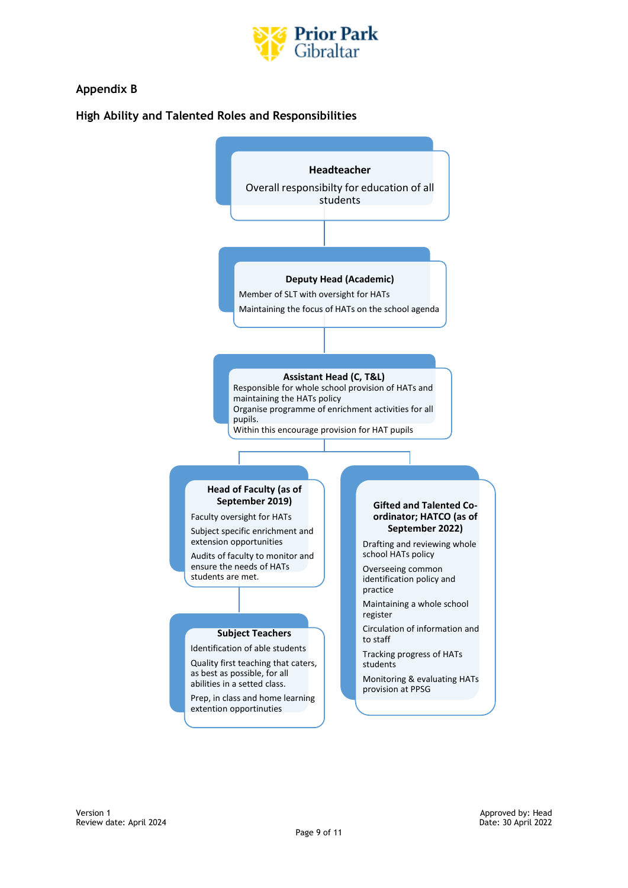

## **Appendix B**

#### **High Ability and Talented Roles and Responsibilities**

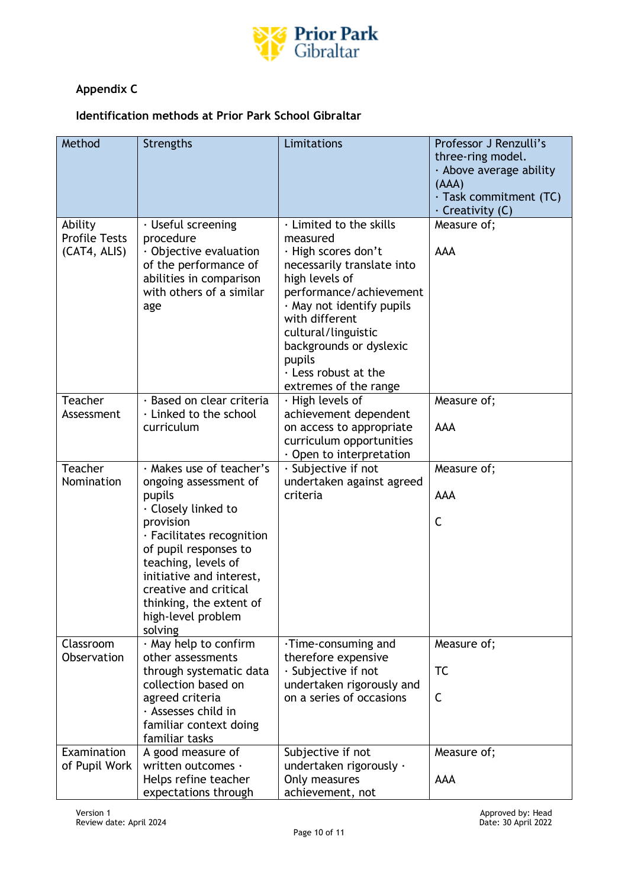

# **Appendix C**

## **Identification methods at Prior Park School Gibraltar**

| Method                                          | <b>Strengths</b>                                                                                                                                                                                                                                                                                    | Limitations                                                                                                                                                                                                                                                                                             | Professor J Renzulli's<br>three-ring model.<br>· Above average ability<br>(AAA)<br>· Task commitment (TC)<br>$\cdot$ Creativity (C) |
|-------------------------------------------------|-----------------------------------------------------------------------------------------------------------------------------------------------------------------------------------------------------------------------------------------------------------------------------------------------------|---------------------------------------------------------------------------------------------------------------------------------------------------------------------------------------------------------------------------------------------------------------------------------------------------------|-------------------------------------------------------------------------------------------------------------------------------------|
| Ability<br><b>Profile Tests</b><br>(CAT4, ALIS) | $\cdot$ Useful screening<br>procedure<br>$\cdot$ Objective evaluation<br>of the performance of<br>abilities in comparison<br>with others of a similar<br>age                                                                                                                                        | · Limited to the skills<br>measured<br>· High scores don't<br>necessarily translate into<br>high levels of<br>performance/achievement<br>· May not identify pupils<br>with different<br>cultural/linguistic<br>backgrounds or dyslexic<br>pupils<br>$\cdot$ Less robust at the<br>extremes of the range | Measure of;<br><b>AAA</b>                                                                                                           |
| Teacher<br>Assessment                           | · Based on clear criteria<br>· Linked to the school<br>curriculum                                                                                                                                                                                                                                   | $\cdot$ High levels of<br>achievement dependent<br>on access to appropriate<br>curriculum opportunities<br>$\cdot$ Open to interpretation                                                                                                                                                               | Measure of;<br><b>AAA</b>                                                                                                           |
| Teacher<br>Nomination                           | · Makes use of teacher's<br>ongoing assessment of<br>pupils<br>$\cdot$ Closely linked to<br>provision<br>· Facilitates recognition<br>of pupil responses to<br>teaching, levels of<br>initiative and interest,<br>creative and critical<br>thinking, the extent of<br>high-level problem<br>solving | $\cdot$ Subjective if not<br>undertaken against agreed<br>criteria                                                                                                                                                                                                                                      | Measure of;<br><b>AAA</b><br>C                                                                                                      |
| Classroom<br>Observation                        | · May help to confirm<br>other assessments<br>through systematic data<br>collection based on<br>agreed criteria<br>· Assesses child in<br>familiar context doing<br>familiar tasks                                                                                                                  | ·Time-consuming and<br>therefore expensive<br>$\cdot$ Subjective if not<br>undertaken rigorously and<br>on a series of occasions                                                                                                                                                                        | Measure of;<br><b>TC</b><br>C                                                                                                       |
| Examination<br>of Pupil Work                    | A good measure of<br>written outcomes ·<br>Helps refine teacher<br>expectations through                                                                                                                                                                                                             | Subjective if not<br>undertaken rigorously ·<br>Only measures<br>achievement, not                                                                                                                                                                                                                       | Measure of;<br>AAA                                                                                                                  |